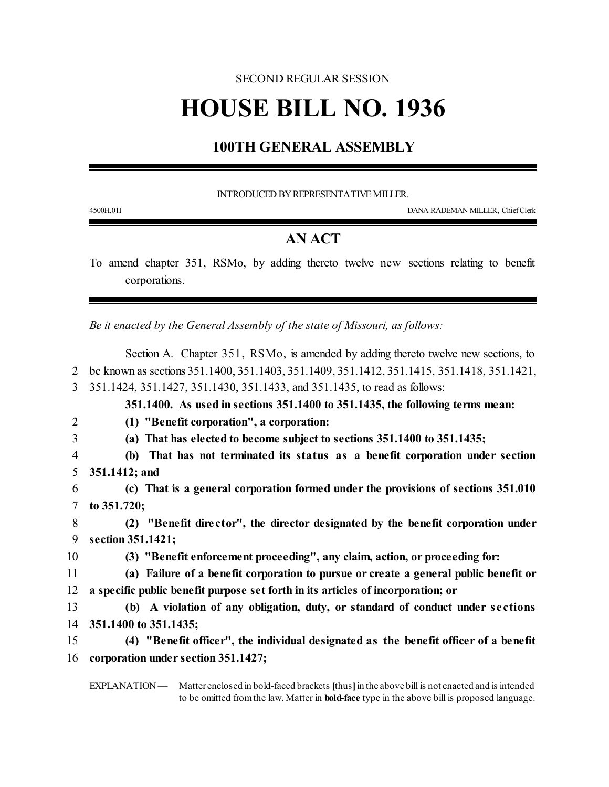## SECOND REGULAR SESSION

## **HOUSE BILL NO. 1936**

## **100TH GENERAL ASSEMBLY**

INTRODUCED BY REPRESENTATIVE MILLER.

4500H.01I DANA RADEMAN MILLER, ChiefClerk

## **AN ACT**

To amend chapter 351, RSMo, by adding thereto twelve new sections relating to benefit corporations.

*Be it enacted by the General Assembly of the state of Missouri, as follows:*

Section A. Chapter 351, RSMo, is amended by adding thereto twelve new sections, to be known as sections 351.1400, 351.1403, 351.1409, 351.1412, 351.1415, 351.1418, 351.1421, 351.1424, 351.1427, 351.1430, 351.1433, and 351.1435, to read as follows: **351.1400. As used in sections 351.1400 to 351.1435, the following terms mean: (1) "Benefit corporation", a corporation: (a) That has elected to become subject to sections 351.1400 to 351.1435; (b) That has not terminated its status as a benefit corporation under section 351.1412; and (c) That is a general corporation formed under the provisions of sections 351.010 to 351.720; (2) "Benefit dire ctor", the director designated by the benefit corporation under section 351.1421; (3) "Benefit enforcement proceeding", any claim, action, or proceeding for: (a) Failure of a benefit corporation to pursue or create a general public benefit or a specific public benefit purpose set forth in its articles of incorporation; or (b) A violation of any obligation, duty, or standard of conduct under se ctions 351.1400 to 351.1435; (4) "Benefit officer", the individual designated as the benefit officer of a benefit corporation under section 351.1427;**

EXPLANATION — Matter enclosed in bold-faced brackets [thus] in the above bill is not enacted and is intended to be omitted fromthe law. Matter in **bold-face** type in the above bill is proposed language.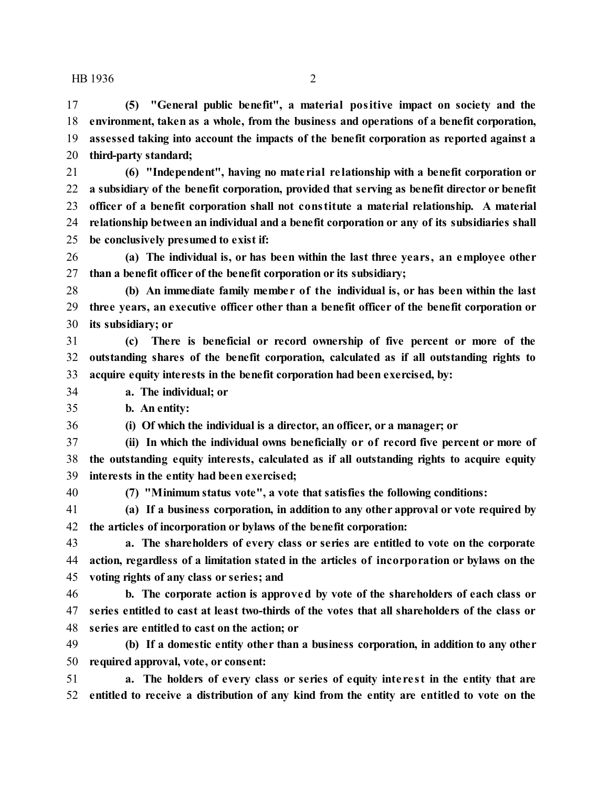**(5) "General public benefit", a material positive impact on society and the environment, taken as a whole, from the business and operations of a benefit corporation, assessed taking into account the impacts of the benefit corporation as reported against a third-party standard;**

 **(6) "Independent", having no mate rial re lationship with a benefit corporation or a subsidiary of the benefit corporation, provided that serving as benefit director or benefit officer of a benefit corporation shall not constitute a material relationship. A material relationship between an individual and a benefit corporation or any of its subsidiaries shall be conclusively presumed to exist if:**

 **(a) The individual is, or has been within the last three years, an employee other than a benefit officer of the benefit corporation or its subsidiary;**

 **(b) An immediate family membe r of the individual is, or has been within the last three years, an executive officer other than a benefit officer of the benefit corporation or its subsidiary; or**

 **(c) There is beneficial or record ownership of five percent or more of the outstanding shares of the benefit corporation, calculated as if all outstanding rights to acquire equity interests in the benefit corporation had been exercised, by:**

**a. The individual; or**

**b. An entity:**

**(i) Of which the individual is a director, an officer, or a manager; or**

 **(ii) In which the individual owns beneficially or of record five percent or more of the outstanding equity interests, calculated as if all outstanding rights to acquire equity interests in the entity had been exercised;**

**(7) "Minimum status vote", a vote that satisfies the following conditions:**

 **(a) If a business corporation, in addition to any other approval or vote required by the articles of incorporation or bylaws of the benefit corporation:**

 **a. The shareholders of every class or series are entitled to vote on the corporate action, regardless of a limitation stated in the articles of incorporation or bylaws on the voting rights of any class or series; and**

 **b. The corporate action is approved by vote of the shareholders of each class or series entitled to cast at least two-thirds of the votes that all shareholders of the class or series are entitled to cast on the action; or**

 **(b) If a domestic entity other than a business corporation, in addition to any other required approval, vote, or consent:**

 **a. The holders of every class or series of equity inte re st in the entity that are entitled to receive a distribution of any kind from the entity are entitled to vote on the**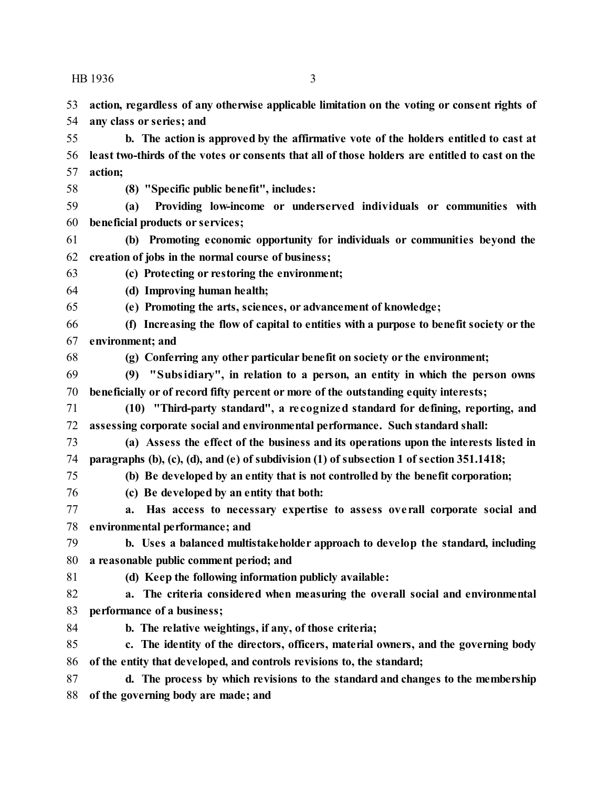**action, regardless of any otherwise applicable limitation on the voting or consent rights of any class or series; and**

 **b. The action is approved by the affirmative vote of the holders entitled to cast at least two-thirds of the votes or consents that all of those holders are entitled to cast on the action;**

**(8) "Specific public benefit", includes:**

 **(a) Providing low-income or underserved individuals or communities with beneficial products or services;**

 **(b) Promoting economic opportunity for individuals or communities beyond the creation of jobs in the normal course of business;**

**(c) Protecting or restoring the environment;**

**(d) Improving human health;**

**(e) Promoting the arts, sciences, or advancement of knowledge;**

- **(f) Increasing the flow of capital to entities with a purpose to benefit society or the environment; and**
- 

**(g) Conferring any other particular benefit on society or the environment;**

 **(9) "Subsidiary", in relation to a person, an entity in which the person owns beneficially or of record fifty percent or more of the outstanding equity interests;**

 **(10) "Third-party standard", a re cognized standard for defining, reporting, and assessing corporate social and environmental performance. Such standard shall:**

- **(a) Assess the effect of the business and its operations upon the interests listed in paragraphs (b), (c), (d), and (e) of subdivision (1) of subsection 1 of section 351.1418;**
- **(b) Be developed by an entity that is not controlled by the benefit corporation;**
- 

**(c) Be developed by an entity that both:**

 **a. Has access to necessary expertise to assess ove rall corporate social and environmental performance; and**

 **b. Uses a balanced multistakeholder approach to develop the standard, including a reasonable public comment period; and**

**(d) Keep the following information publicly available:**

 **a. The criteria considered when measuring the overall social and environmental performance of a business;**

**b. The relative weightings, if any, of those criteria;**

 **c. The identity of the directors, officers, material owners, and the governing body of the entity that developed, and controls revisions to, the standard;**

 **d. The process by which revisions to the standard and changes to the membership of the governing body are made; and**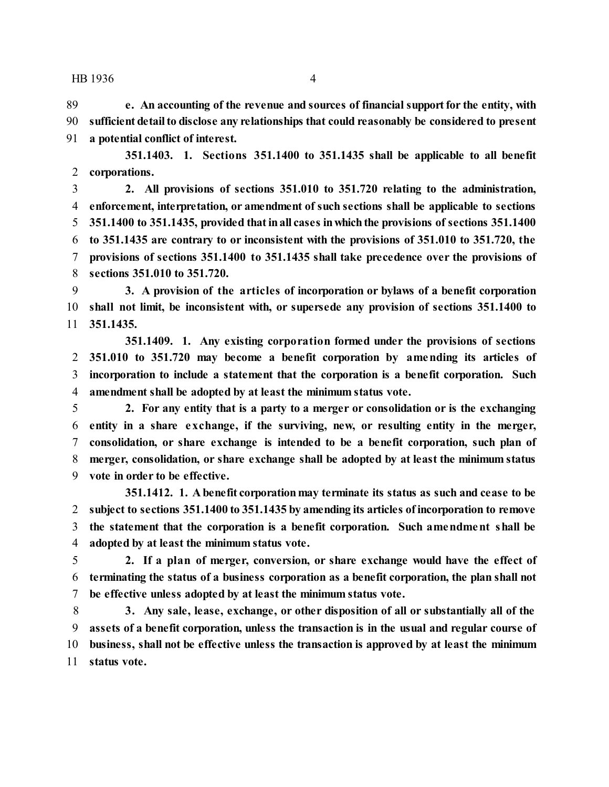**e. An accounting of the revenue and sources of financial supportfor the entity, with sufficient detailto disclose any relationships that could reasonably be considered to present a potential conflict of interest.**

**351.1403. 1. Sections 351.1400 to 351.1435 shall be applicable to all benefit corporations.**

 **2. All provisions of sections 351.010 to 351.720 relating to the administration, enforcement, interpretation, or amendment of such sections shall be applicable to sections 351.1400 to 351.1435, provided thatinall cases inwhichthe provisions of sections 351.1400 to 351.1435 are contrary to or inconsistent with the provisions of 351.010 to 351.720, the provisions of sections 351.1400 to 351.1435 shall take precedence over the provisions of sections 351.010 to 351.720.**

 **3. A provision of the articles of incorporation or bylaws of a benefit corporation shall not limit, be inconsistent with, or supersede any provision of sections 351.1400 to 351.1435.**

**351.1409. 1. Any existing corporation formed under the provisions of sections 351.010 to 351.720 may become a benefit corporation by amending its articles of incorporation to include a statement that the corporation is a benefit corporation. Such amendment shall be adopted by at least the minimum status vote.**

 **2. For any entity that is a party to a merger or consolidation or is the exchanging entity in a share exchange, if the surviving, new, or resulting entity in the merger, consolidation, or share exchange is intended to be a benefit corporation, such plan of merger, consolidation, or share exchange shall be adopted by at least the minimum status vote in order to be effective.**

**351.1412. 1. A benefit corporationmay terminate its status as such and cease to be subject to sections 351.1400 to 351.1435 by amending its articles ofincorporation to remove the statement that the corporation is a benefit corporation. Such amendment shall be adopted by at least the minimum status vote.**

 **2. If a plan of merger, conversion, or share exchange would have the effect of terminating the status of a business corporation as a benefit corporation, the plan shall not be effective unless adopted by at least the minimum status vote.**

 **3. Any sale, lease, exchange, or other disposition of all or substantially all of the assets of a benefit corporation, unless the transaction is in the usual and regular course of business, shall not be effective unless the transaction is approved by at least the minimum status vote.**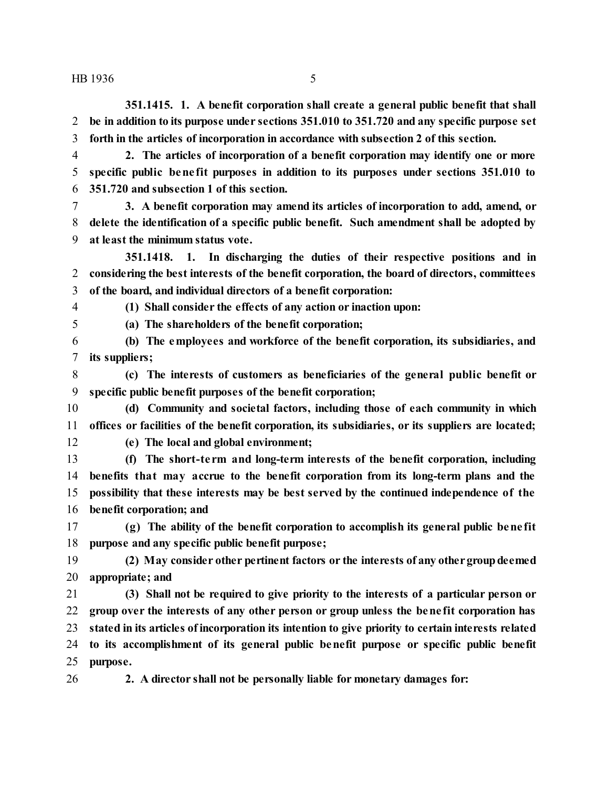**351.1415. 1. A benefit corporation shall create a general public benefit that shall be in addition to its purpose under sections 351.010 to 351.720 and any specific purpose set forth in the articles of incorporation in accordance with subsection 2 of this section.**

 **2. The articles of incorporation of a benefit corporation may identify one or more specific public bene fit purposes in addition to its purposes under sections 351.010 to 351.720 and subsection 1 of this section.**

 **3. A benefit corporation may amend its articles of incorporation to add, amend, or delete the identification of a specific public benefit. Such amendment shall be adopted by at least the minimum status vote.**

**351.1418. 1. In discharging the duties of their respective positions and in considering the best interests of the benefit corporation, the board of directors, committees of the board, and individual directors of a benefit corporation:**

**(1) Shall consider the effects of any action or inaction upon:**

**(a) The shareholders of the benefit corporation;**

 **(b) The employees and workforce of the benefit corporation, its subsidiaries, and its suppliers;**

 **(c) The interests of customers as beneficiaries of the general public benefit or specific public benefit purposes of the benefit corporation;**

 **(d) Community and societal factors, including those of each community in which offices or facilities of the benefit corporation, its subsidiaries, or its suppliers are located;**

**(e) The local and global environment;**

 **(f) The short-te rm and long-term interests of the benefit corporation, including benefits that may accrue to the benefit corporation from its long-term plans and the possibility that these interests may be best served by the continued independence of the benefit corporation; and**

 **(g) The ability of the benefit corporation to accomplish its general public bene fit purpose and any specific public benefit purpose;**

 **(2) May consider other pertinent factors or the interests of any othergroupdeemed appropriate; and**

 **(3) Shall not be required to give priority to the interests of a particular person or group over the interests of any other person or group unless the bene fit corporation has stated in its articles ofincorporation its intention to give priority to certain interests related to its accomplishment of its general public benefit purpose or specific public benefit purpose.**

**2. A director shall not be personally liable for monetary damages for:**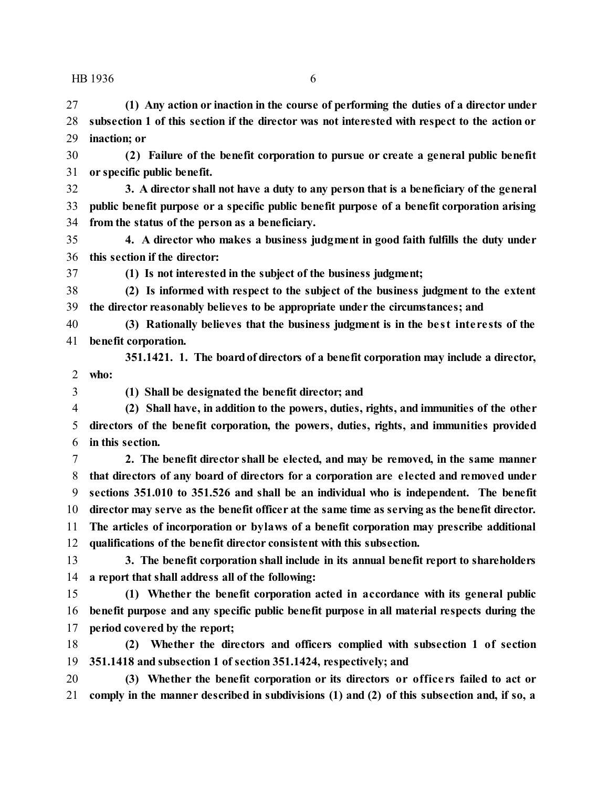**(1) Any action or inaction in the course of performing the duties of a director under subsection 1 of this section if the director was not interested with respect to the action or inaction; or**

 **(2) Failure of the benefit corporation to pursue or create a general public benefit or specific public benefit.**

 **3. A director shall not have a duty to any person that is a beneficiary of the general public benefit purpose or a specific public benefit purpose of a benefit corporation arising from the status of the person as a beneficiary.**

 **4. A director who makes a business judgment in good faith fulfills the duty under this section if the director:**

**(1) Is not interested in the subject of the business judgment;**

 **(2) Is informed with respect to the subject of the business judgment to the extent the director reasonably believes to be appropriate under the circumstances; and**

 **(3) Rationally believes that the business judgment is in the be st inte re sts of the benefit corporation.**

**351.1421. 1. The boardof directors of a benefit corporation may include a director, who:**

**(1) Shall be designated the benefit director; and**

 **(2) Shall have, in addition to the powers, duties, rights, and immunities of the other directors of the benefit corporation, the powers, duties, rights, and immunities provided in this section.**

 **2. The benefit director shall be elected, and may be removed, in the same manner that directors of any board of directors for a corporation are e lected and removed under sections 351.010 to 351.526 and shall be an individual who is independent. The benefit director may serve as the benefit officer at the same time as serving as the benefit director. The articles of incorporation or bylaws of a benefit corporation may prescribe additional qualifications of the benefit director consistent with this subsection.**

 **3. The benefit corporation shall include in its annual benefit report to shareholders a report that shall address all of the following:**

 **(1) Whether the benefit corporation acted in accordance with its general public benefit purpose and any specific public benefit purpose in all material respects during the period covered by the report;**

 **(2) Whether the directors and officers complied with subsection 1 of section 351.1418 and subsection 1 of section 351.1424, respectively; and**

 **(3) Whether the benefit corporation or its directors or office rs failed to act or comply in the manner described in subdivisions (1) and (2) of this subsection and, if so, a**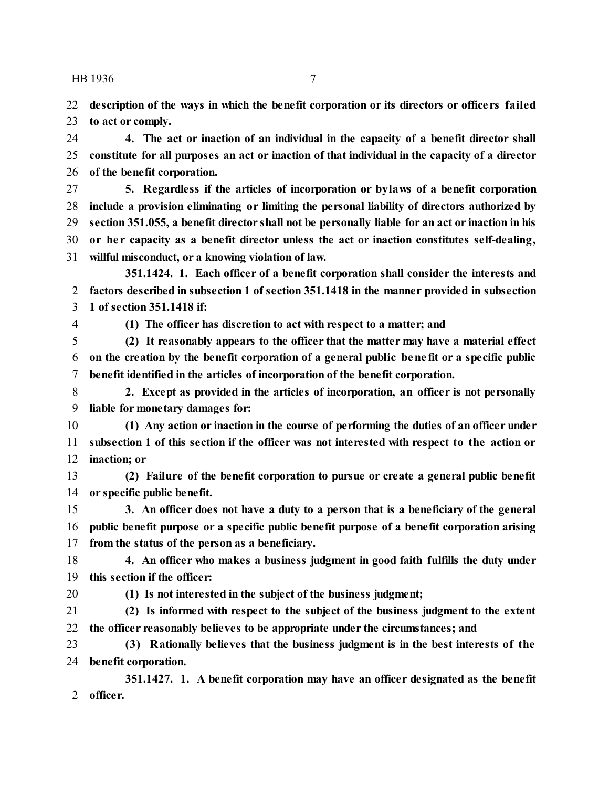**description of the ways in which the benefit corporation or its directors or office rs failed to act or comply.**

 **4. The act or inaction of an individual in the capacity of a benefit director shall constitute for all purposes an act or inaction of that individual in the capacity of a director of the benefit corporation.**

 **5. Regardless if the articles of incorporation or bylaws of a benefit corporation include a provision eliminating or limiting the personal liability of directors authorized by section 351.055, a benefit director shall not be personally liable for an act or inaction in his or he r capacity as a benefit director unless the act or inaction constitutes self-dealing, willful misconduct, or a knowing violation of law.**

**351.1424. 1. Each officer of a benefit corporation shall consider the interests and factors described in subsection 1 of section 351.1418 in the manner provided in subsection 1 of section 351.1418 if:**

**(1) The officer has discretion to act with respect to a matter; and**

 **(2) It reasonably appears to the officer that the matter may have a material effect on the creation by the benefit corporation of a general public bene fit or a specific public benefit identified in the articles of incorporation of the benefit corporation.**

 **2. Except as provided in the articles of incorporation, an officer is not personally liable for monetary damages for:**

 **(1) Any action or inaction in the course of performing the duties of an officer under subsection 1 of this section if the officer was not interested with respect to the action or inaction; or**

 **(2) Failure of the benefit corporation to pursue or create a general public benefit or specific public benefit.**

 **3. An officer does not have a duty to a person that is a beneficiary of the general public benefit purpose or a specific public benefit purpose of a benefit corporation arising from the status of the person as a beneficiary.**

 **4. An officer who makes a business judgment in good faith fulfills the duty under this section if the officer:**

**(1) Is not interested in the subject of the business judgment;**

 **(2) Is informed with respect to the subject of the business judgment to the extent the officer reasonably believes to be appropriate under the circumstances; and**

 **(3) Rationally believes that the business judgment is in the best interests of the benefit corporation.**

**351.1427. 1. A benefit corporation may have an officer designated as the benefit officer.**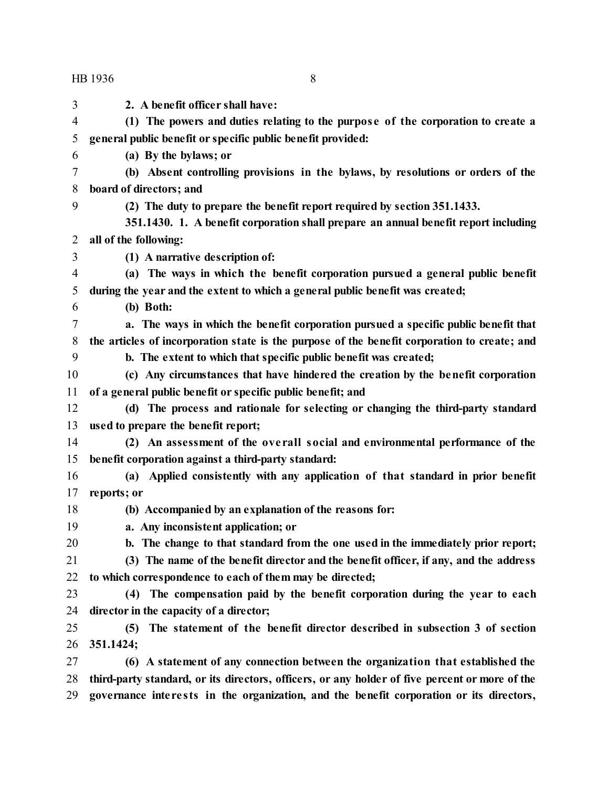**2. A benefit officer shall have: (1) The powers and duties relating to the purpose of the corporation to create a general public benefit or specific public benefit provided: (a) By the bylaws; or (b) Absent controlling provisions in the bylaws, by resolutions or orders of the board of directors; and (2) The duty to prepare the benefit report required by section 351.1433. 351.1430. 1. A benefit corporation shall prepare an annual benefit report including all of the following: (1) A narrative description of: (a) The ways in which the benefit corporation pursued a general public benefit during the year and the extent to which a general public benefit was created; (b) Both: a. The ways in which the benefit corporation pursued a specific public benefit that the articles of incorporation state is the purpose of the benefit corporation to create; and b. The extent to which that specific public benefit was created; (c) Any circumstances that have hindered the creation by the benefit corporation of a general public benefit or specific public benefit; and (d) The process and rationale for selecting or changing the third-party standard used to prepare the benefit report; (2) An assessment of the ove rall social and environmental performance of the benefit corporation against a third-party standard: (a) Applied consistently with any application of that standard in prior benefit reports; or (b) Accompanied by an explanation of the reasons for: a. Any inconsistent application; or b. The change to that standard from the one used in the immediately prior report; (3) The name of the benefit director and the benefit officer, if any, and the address to which correspondence to each of them may be directed; (4) The compensation paid by the benefit corporation during the year to each director in the capacity of a director; (5) The statement of the benefit director described in subsection 3 of section 351.1424; (6) A statement of any connection between the organization that established the third-party standard, or its directors, officers, or any holder of five percent or more of the governance inte re sts in the organization, and the benefit corporation or its directors,**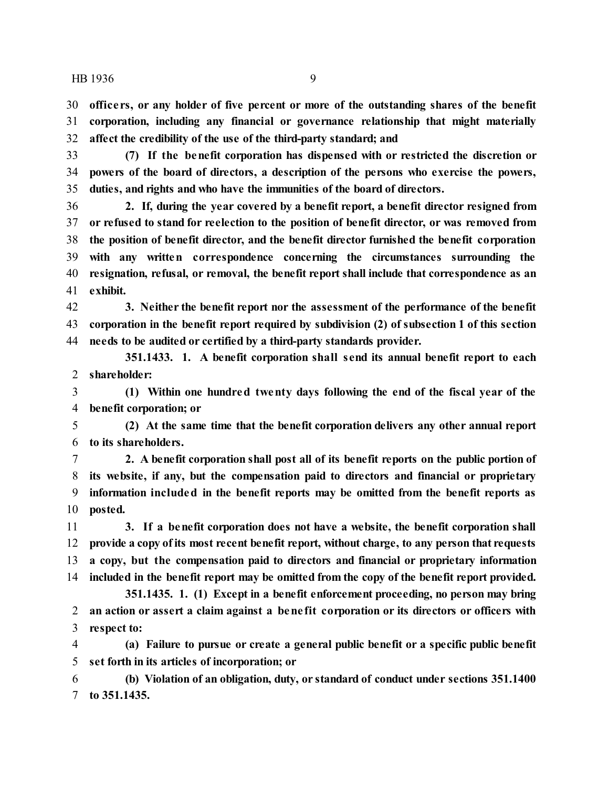**office rs, or any holder of five percent or more of the outstanding shares of the benefit corporation, including any financial or governance relationship that might materially affect the credibility of the use of the third-party standard; and**

 **(7) If the benefit corporation has dispensed with or restricted the discretion or powers of the board of directors, a description of the persons who exercise the powers, duties, and rights and who have the immunities of the board of directors.**

 **2. If, during the year covered by a benefit report, a benefit director resigned from or refused to stand for reelection to the position of benefit director, or was removed from the position of benefit director, and the benefit director furnished the benefit corporation with any written correspondence concerning the circumstances surrounding the resignation, refusal, or removal, the benefit report shall include that correspondence as an exhibit.**

 **3. Neither the benefit report nor the assessment of the performance of the benefit corporation in the benefit report required by subdivision (2) of subsection 1 of this section needs to be audited or certified by a third-party standards provider.**

**351.1433. 1. A benefit corporation shall send its annual benefit report to each shareholder:**

 **(1) Within one hundred twenty days following the end of the fiscal year of the benefit corporation; or**

 **(2) At the same time that the benefit corporation delivers any other annual report to its shareholders.**

 **2. A benefit corporation shall post all of its benefit reports on the public portion of its website, if any, but the compensation paid to directors and financial or proprietary information included in the benefit reports may be omitted from the benefit reports as posted.**

 **3. If a benefit corporation does not have a website, the benefit corporation shall provide a copy ofits most recent benefit report, without charge, to any person that requests a copy, but the compensation paid to directors and financial or proprietary information included in the benefit report may be omitted from the copy of the benefit report provided.**

**351.1435. 1. (1) Except in a benefit enforcement proceeding, no person may bring an action or assert a claim against a bene fit corporation or its directors or officers with respect to:**

 **(a) Failure to pursue or create a general public benefit or a specific public benefit set forth in its articles of incorporation; or**

 **(b) Violation of an obligation, duty, or standard of conduct under sections 351.1400 to 351.1435.**